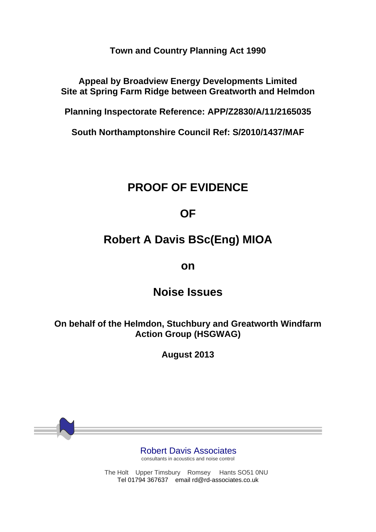**Town and Country Planning Act 1990**

**Appeal by Broadview Energy Developments Limited Site at Spring Farm Ridge between Greatworth and Helmdon**

**Planning Inspectorate Reference: APP/Z2830/A/11/2165035**

**South Northamptonshire Council Ref: S/2010/1437/MAF**

## **PROOF OF EVIDENCE**

## **OF**

# **Robert A Davis BSc(Eng) MIOA**

## **on**

## **Noise Issues**

**On behalf of the Helmdon, Stuchbury and Greatworth Windfarm Action Group (HSGWAG)** 

**August 2013**

Robert Davis Associates

consultants in acoustics and noise control

The Holt Upper Timsbury Romsey Hants SO51 0NU Tel 01794 367637 email rd@rd-associates.co.uk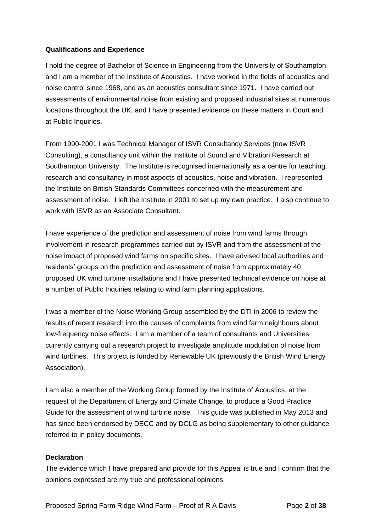#### **Qualifications and Experience**

I hold the degree of Bachelor of Science in Engineering from the University of Southampton, and I am a member of the Institute of Acoustics. I have worked in the fields of acoustics and noise control since 1968, and as an acoustics consultant since 1971. I have carried out assessments of environmental noise from existing and proposed industrial sites at numerous locations throughout the UK, and I have presented evidence on these matters in Court and at Public Inquiries.

From 1990-2001 I was Technical Manager of ISVR Consultancy Services (now ISVR Consulting), a consultancy unit within the Institute of Sound and Vibration Research at Southampton University. The Institute is recognised internationally as a centre for teaching, research and consultancy in most aspects of acoustics, noise and vibration. I represented the Institute on British Standards Committees concerned with the measurement and assessment of noise. I left the Institute in 2001 to set up my own practice. I also continue to work with ISVR as an Associate Consultant.

I have experience of the prediction and assessment of noise from wind farms through involvement in research programmes carried out by ISVR and from the assessment of the noise impact of proposed wind farms on specific sites. I have advised local authorities and residents' groups on the prediction and assessment of noise from approximately 40 proposed UK wind turbine installations and I have presented technical evidence on noise at a number of Public Inquiries relating to wind farm planning applications.

I was a member of the Noise Working Group assembled by the DTI in 2006 to review the results of recent research into the causes of complaints from wind farm neighbours about low-frequency noise effects. I am a member of a team of consultants and Universities currently carrying out a research project to investigate amplitude modulation of noise from wind turbines. This project is funded by Renewable UK (previously the British Wind Energy Association).

I am also a member of the Working Group formed by the Institute of Acoustics, at the request of the Department of Energy and Climate Change, to produce a Good Practice Guide for the assessment of wind turbine noise. This guide was published in May 2013 and has since been endorsed by DECC and by DCLG as being supplementary to other guidance referred to in policy documents.

#### **Declaration**

The evidence which I have prepared and provide for this Appeal is true and I confirm that the opinions expressed are my true and professional opinions.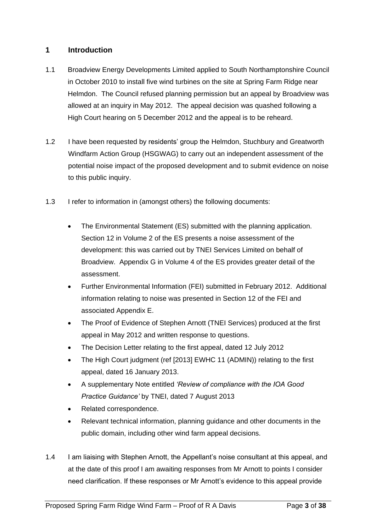## **1 Introduction**

- 1.1 Broadview Energy Developments Limited applied to South Northamptonshire Council in October 2010 to install five wind turbines on the site at Spring Farm Ridge near Helmdon. The Council refused planning permission but an appeal by Broadview was allowed at an inquiry in May 2012. The appeal decision was quashed following a High Court hearing on 5 December 2012 and the appeal is to be reheard.
- 1.2 I have been requested by residents' group the Helmdon, Stuchbury and Greatworth Windfarm Action Group (HSGWAG) to carry out an independent assessment of the potential noise impact of the proposed development and to submit evidence on noise to this public inquiry.
- 1.3 I refer to information in (amongst others) the following documents:
	- The Environmental Statement (ES) submitted with the planning application. Section 12 in Volume 2 of the ES presents a noise assessment of the development: this was carried out by TNEI Services Limited on behalf of Broadview. Appendix G in Volume 4 of the ES provides greater detail of the assessment.
	- Further Environmental Information (FEI) submitted in February 2012. Additional information relating to noise was presented in Section 12 of the FEI and associated Appendix E.
	- The Proof of Evidence of Stephen Arnott (TNEI Services) produced at the first appeal in May 2012 and written response to questions.
	- The Decision Letter relating to the first appeal, dated 12 July 2012
	- The High Court judgment (ref [2013] EWHC 11 (ADMIN)) relating to the first appeal, dated 16 January 2013.
	- A supplementary Note entitled *'Review of compliance with the IOA Good Practice Guidance'* by TNEI, dated 7 August 2013
	- Related correspondence.
	- Relevant technical information, planning guidance and other documents in the public domain, including other wind farm appeal decisions.
- 1.4 I am liaising with Stephen Arnott, the Appellant's noise consultant at this appeal, and at the date of this proof I am awaiting responses from Mr Arnott to points I consider need clarification. If these responses or Mr Arnott's evidence to this appeal provide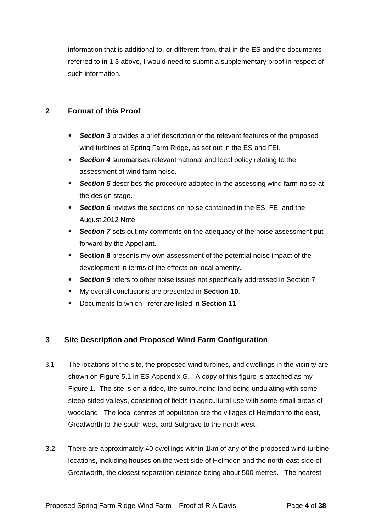information that is additional to, or different from, that in the ES and the documents referred to in 1.3 above, I would need to submit a supplementary proof in respect of such information.

## **2 Format of this Proof**

- *Section 3* provides a brief description of the relevant features of the proposed wind turbines at Spring Farm Ridge, as set out in the ES and FEI.
- **Section 4** summarises relevant national and local policy relating to the assessment of wind farm noise.
- **Section 5** describes the procedure adopted in the assessing wind farm noise at the design stage.
- **Section 6** reviews the sections on noise contained in the ES, FEI and the August 2012 Note.
- *Section 7* sets out my comments on the adequacy of the noise assessment put forward by the Appellant.
- **Section 8** presents my own assessment of the potential noise impact of the development in terms of the effects on local amenity.
- **Section 9** refers to other noise issues not specifically addressed in Section 7
- My overall conclusions are presented in **Section 10**.
- Documents to which I refer are listed in **Section 11**

## **3 Site Description and Proposed Wind Farm Configuration**

- 3.1 The locations of the site, the proposed wind turbines, and dwellings in the vicinity are shown on Figure 5.1 in ES Appendix G. A copy of this figure is attached as my Figure 1. The site is on a ridge, the surrounding land being undulating with some steep-sided valleys, consisting of fields in agricultural use with some small areas of woodland. The local centres of population are the villages of Helmdon to the east, Greatworth to the south west, and Sulgrave to the north west.
- 3.2 There are approximately 40 dwellings within 1km of any of the proposed wind turbine locations, including houses on the west side of Helmdon and the north-east side of Greatworth, the closest separation distance being about 500 metres. The nearest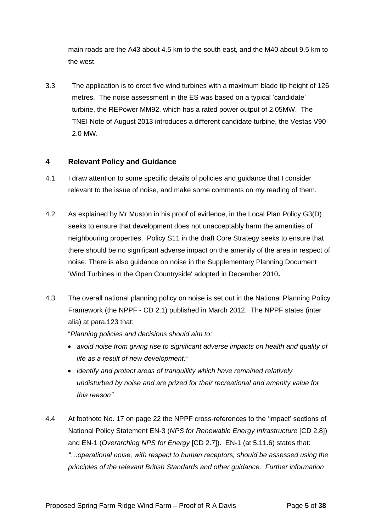main roads are the A43 about 4.5 km to the south east, and the M40 about 9.5 km to the west.

3.3 The application is to erect five wind turbines with a maximum blade tip height of 126 metres. The noise assessment in the ES was based on a typical 'candidate' turbine, the REPower MM92, which has a rated power output of 2.05MW. The TNEI Note of August 2013 introduces a different candidate turbine, the Vestas V90 2.0 MW.

### **4 Relevant Policy and Guidance**

- 4.1 I draw attention to some specific details of policies and guidance that I consider relevant to the issue of noise, and make some comments on my reading of them.
- 4.2 As explained by Mr Muston in his proof of evidence, in the Local Plan Policy G3(D) seeks to ensure that development does not unacceptably harm the amenities of neighbouring properties. Policy S11 in the draft Core Strategy seeks to ensure that there should be no significant adverse impact on the amenity of the area in respect of noise. There is also guidance on noise in the Supplementary Planning Document 'Wind Turbines in the Open Countryside' adopted in December 2010**.**
- 4.3 The overall national planning policy on noise is set out in the National Planning Policy Framework (the NPPF - CD 2.1) published in March 2012. The NPPF states (inter alia) at para.123 that:

"*Planning policies and decisions should aim to:* 

- *avoid noise from giving rise to significant adverse impacts on health and quality of life as a result of new development:"*
- *identify and protect areas of tranquillity which have remained relatively undisturbed by noise and are prized for their recreational and amenity value for this reason"*
- 4.4 At footnote No. 17 on page 22 the NPPF cross-references to the 'impact' sections of National Policy Statement EN-3 (*NPS for Renewable Energy Infrastructure* [CD 2.8]) and EN-1 (*Overarching NPS for Energy* [CD 2.7]). EN-1 (at 5.11.6) states that: *"…operational noise, with respect to human receptors, should be assessed using the principles of the relevant British Standards and other guidance. Further information*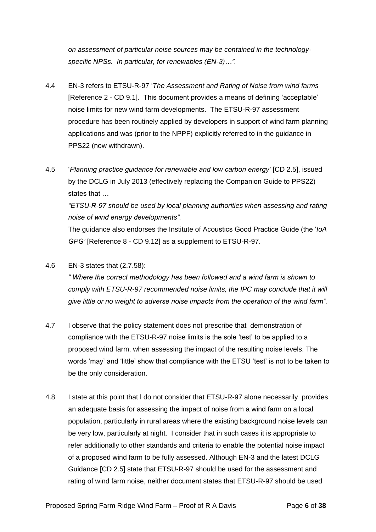*on assessment of particular noise sources may be contained in the technologyspecific NPSs. In particular, for renewables (EN-3)…".*

- 4.4 EN-3 refers to ETSU-R-97 '*The Assessment and Rating of Noise from wind farms* [Reference 2 - CD 9.1]. This document provides a means of defining 'acceptable' noise limits for new wind farm developments. The ETSU-R-97 assessment procedure has been routinely applied by developers in support of wind farm planning applications and was (prior to the NPPF) explicitly referred to in the guidance in PPS22 (now withdrawn).
- 4.5 '*Planning practice guidance for renewable and low carbon energy'* [CD 2.5], issued by the DCLG in July 2013 (effectively replacing the Companion Guide to PPS22) states that …

*"ETSU-R-97 should be used by local planning authorities when assessing and rating noise of wind energy developments".* 

The guidance also endorses the Institute of Acoustics Good Practice Guide (the '*IoA GPG'* [Reference 8 - CD 9.12] as a supplement to ETSU-R-97.

4.6 EN-3 states that (2.7.58):

*" Where the correct methodology has been followed and a wind farm is shown to comply with ETSU-R-97 recommended noise limits, the IPC may conclude that it will give little or no weight to adverse noise impacts from the operation of the wind farm".* 

- 4.7 I observe that the policy statement does not prescribe that demonstration of compliance with the ETSU-R-97 noise limits is the sole 'test' to be applied to a proposed wind farm, when assessing the impact of the resulting noise levels. The words 'may' and 'little' show that compliance with the ETSU 'test' is not to be taken to be the only consideration.
- 4.8 I state at this point that l do not consider that ETSU-R-97 alone necessarily provides an adequate basis for assessing the impact of noise from a wind farm on a local population, particularly in rural areas where the existing background noise levels can be very low, particularly at night. I consider that in such cases it is appropriate to refer additionally to other standards and criteria to enable the potential noise impact of a proposed wind farm to be fully assessed. Although EN-3 and the latest DCLG Guidance [CD 2.5] state that ETSU-R-97 should be used for the assessment and rating of wind farm noise, neither document states that ETSU-R-97 should be used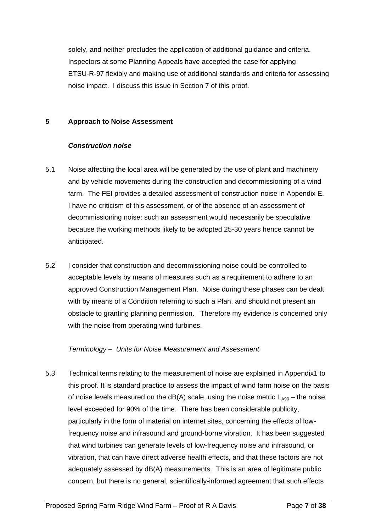solely, and neither precludes the application of additional guidance and criteria. Inspectors at some Planning Appeals have accepted the case for applying ETSU-R-97 flexibly and making use of additional standards and criteria for assessing noise impact. I discuss this issue in Section 7 of this proof.

#### **5 Approach to Noise Assessment**

#### *Construction noise*

- 5.1 Noise affecting the local area will be generated by the use of plant and machinery and by vehicle movements during the construction and decommissioning of a wind farm. The FEI provides a detailed assessment of construction noise in Appendix E. I have no criticism of this assessment, or of the absence of an assessment of decommissioning noise: such an assessment would necessarily be speculative because the working methods likely to be adopted 25-30 years hence cannot be anticipated.
- 5.2 I consider that construction and decommissioning noise could be controlled to acceptable levels by means of measures such as a requirement to adhere to an approved Construction Management Plan. Noise during these phases can be dealt with by means of a Condition referring to such a Plan, and should not present an obstacle to granting planning permission. Therefore my evidence is concerned only with the noise from operating wind turbines.

#### *Terminology – Units for Noise Measurement and Assessment*

5.3 Technical terms relating to the measurement of noise are explained in Appendix1 to this proof. It is standard practice to assess the impact of wind farm noise on the basis of noise levels measured on the  $dB(A)$  scale, using the noise metric  $L_{A90}$  – the noise level exceeded for 90% of the time. There has been considerable publicity, particularly in the form of material on internet sites, concerning the effects of lowfrequency noise and infrasound and ground-borne vibration. It has been suggested that wind turbines can generate levels of low-frequency noise and infrasound, or vibration, that can have direct adverse health effects, and that these factors are not adequately assessed by dB(A) measurements. This is an area of legitimate public concern, but there is no general, scientifically-informed agreement that such effects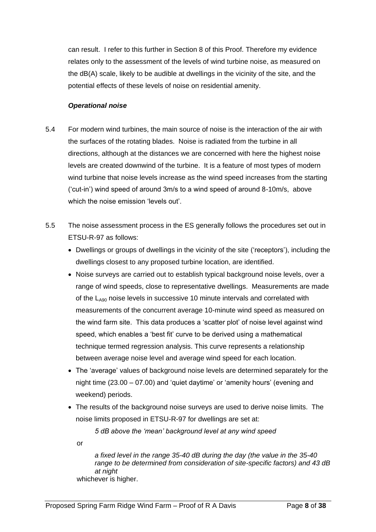can result. I refer to this further in Section 8 of this Proof. Therefore my evidence relates only to the assessment of the levels of wind turbine noise, as measured on the dB(A) scale, likely to be audible at dwellings in the vicinity of the site, and the potential effects of these levels of noise on residential amenity.

#### *Operational noise*

- 5.4 For modern wind turbines, the main source of noise is the interaction of the air with the surfaces of the rotating blades. Noise is radiated from the turbine in all directions, although at the distances we are concerned with here the highest noise levels are created downwind of the turbine. It is a feature of most types of modern wind turbine that noise levels increase as the wind speed increases from the starting ('cut-in') wind speed of around 3m/s to a wind speed of around 8-10m/s, above which the noise emission 'levels out'.
- 5.5 The noise assessment process in the ES generally follows the procedures set out in ETSU-R-97 as follows:
	- Dwellings or groups of dwellings in the vicinity of the site ('receptors'), including the dwellings closest to any proposed turbine location, are identified.
	- Noise surveys are carried out to establish typical background noise levels, over a range of wind speeds, close to representative dwellings. Measurements are made of the  $\mathsf{L}_{\mathsf{A90}}$  noise levels in successive 10 minute intervals and correlated with measurements of the concurrent average 10-minute wind speed as measured on the wind farm site. This data produces a 'scatter plot' of noise level against wind speed, which enables a 'best fit' curve to be derived using a mathematical technique termed regression analysis. This curve represents a relationship between average noise level and average wind speed for each location.
	- The 'average' values of background noise levels are determined separately for the night time (23.00 – 07.00) and 'quiet daytime' or 'amenity hours' (evening and weekend) periods.
	- The results of the background noise surveys are used to derive noise limits. The noise limits proposed in ETSU-R-97 for dwellings are set at:

*5 dB above the 'mean' background level at any wind speed* 

or

*a fixed level in the range 35-40 dB during the day (the value in the 35-40 range to be determined from consideration of site-specific factors) and 43 dB at night* whichever is higher.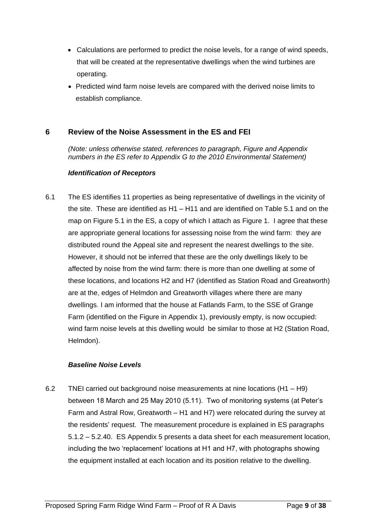- Calculations are performed to predict the noise levels, for a range of wind speeds, that will be created at the representative dwellings when the wind turbines are operating.
- Predicted wind farm noise levels are compared with the derived noise limits to establish compliance.

### **6 Review of the Noise Assessment in the ES and FEI**

*(Note: unless otherwise stated, references to paragraph, Figure and Appendix numbers in the ES refer to Appendix G to the 2010 Environmental Statement)* 

#### *Identification of Receptors*

6.1 The ES identifies 11 properties as being representative of dwellings in the vicinity of the site. These are identified as H1 – H11 and are identified on Table 5.1 and on the map on Figure 5.1 in the ES, a copy of which I attach as Figure 1. I agree that these are appropriate general locations for assessing noise from the wind farm: they are distributed round the Appeal site and represent the nearest dwellings to the site. However, it should not be inferred that these are the only dwellings likely to be affected by noise from the wind farm: there is more than one dwelling at some of these locations, and locations H2 and H7 (identified as Station Road and Greatworth) are at the, edges of Helmdon and Greatworth villages where there are many dwellings*.* I am informed that the house at Fatlands Farm, to the SSE of Grange Farm (identified on the Figure in Appendix 1), previously empty, is now occupied: wind farm noise levels at this dwelling would be similar to those at H2 (Station Road, Helmdon).

#### *Baseline Noise Levels*

6.2 TNEI carried out background noise measurements at nine locations (H1 – H9) between 18 March and 25 May 2010 (5.11). Two of monitoring systems (at Peter's Farm and Astral Row, Greatworth – H1 and H7) were relocated during the survey at the residents' request. The measurement procedure is explained in ES paragraphs 5.1.2 – 5.2.40. ES Appendix 5 presents a data sheet for each measurement location, including the two 'replacement' locations at H1 and H7, with photographs showing the equipment installed at each location and its position relative to the dwelling.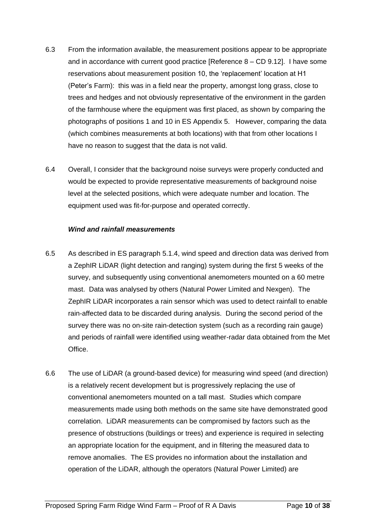- 6.3 From the information available, the measurement positions appear to be appropriate and in accordance with current good practice [Reference 8 – CD 9.12]. I have some reservations about measurement position 10, the 'replacement' location at H1 (Peter's Farm): this was in a field near the property, amongst long grass, close to trees and hedges and not obviously representative of the environment in the garden of the farmhouse where the equipment was first placed, as shown by comparing the photographs of positions 1 and 10 in ES Appendix 5. However, comparing the data (which combines measurements at both locations) with that from other locations I have no reason to suggest that the data is not valid.
- 6.4 Overall, I consider that the background noise surveys were properly conducted and would be expected to provide representative measurements of background noise level at the selected positions, which were adequate number and location. The equipment used was fit-for-purpose and operated correctly.

#### *Wind and rainfall measurements*

- 6.5 As described in ES paragraph 5.1.4, wind speed and direction data was derived from a ZephIR LiDAR (light detection and ranging) system during the first 5 weeks of the survey, and subsequently using conventional anemometers mounted on a 60 metre mast. Data was analysed by others (Natural Power Limited and Nexgen). The ZephIR LiDAR incorporates a rain sensor which was used to detect rainfall to enable rain-affected data to be discarded during analysis. During the second period of the survey there was no on-site rain-detection system (such as a recording rain gauge) and periods of rainfall were identified using weather-radar data obtained from the Met Office.
- 6.6 The use of LiDAR (a ground-based device) for measuring wind speed (and direction) is a relatively recent development but is progressively replacing the use of conventional anemometers mounted on a tall mast. Studies which compare measurements made using both methods on the same site have demonstrated good correlation. LiDAR measurements can be compromised by factors such as the presence of obstructions (buildings or trees) and experience is required in selecting an appropriate location for the equipment, and in filtering the measured data to remove anomalies. The ES provides no information about the installation and operation of the LiDAR, although the operators (Natural Power Limited) are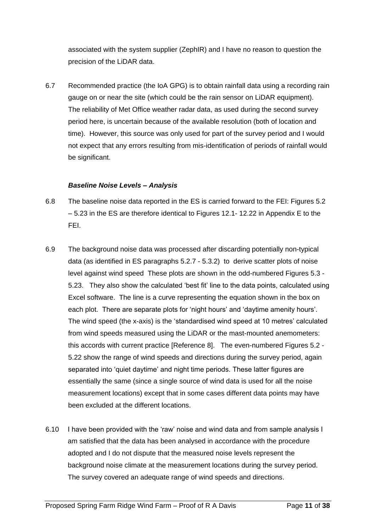associated with the system supplier (ZephIR) and I have no reason to question the precision of the LiDAR data.

6.7 Recommended practice (the IoA GPG) is to obtain rainfall data using a recording rain gauge on or near the site (which could be the rain sensor on LiDAR equipment). The reliability of Met Office weather radar data, as used during the second survey period here, is uncertain because of the available resolution (both of location and time). However, this source was only used for part of the survey period and I would not expect that any errors resulting from mis-identification of periods of rainfall would be significant.

#### *Baseline Noise Levels – Analysis*

- 6.8 The baseline noise data reported in the ES is carried forward to the FEI: Figures 5.2 – 5.23 in the ES are therefore identical to Figures 12.1- 12.22 in Appendix E to the FEI.
- 6.9 The background noise data was processed after discarding potentially non-typical data (as identified in ES paragraphs 5.2.7 - 5.3.2) to derive scatter plots of noise level against wind speed These plots are shown in the odd-numbered Figures 5.3 - 5.23. They also show the calculated 'best fit' line to the data points, calculated using Excel software. The line is a curve representing the equation shown in the box on each plot. There are separate plots for 'night hours' and 'daytime amenity hours'. The wind speed (the x-axis) is the 'standardised wind speed at 10 metres' calculated from wind speeds measured using the LiDAR or the mast-mounted anemometers: this accords with current practice [Reference 8]. The even-numbered Figures 5.2 - 5.22 show the range of wind speeds and directions during the survey period, again separated into 'quiet daytime' and night time periods. These latter figures are essentially the same (since a single source of wind data is used for all the noise measurement locations) except that in some cases different data points may have been excluded at the different locations.
- 6.10 I have been provided with the 'raw' noise and wind data and from sample analysis I am satisfied that the data has been analysed in accordance with the procedure adopted and I do not dispute that the measured noise levels represent the background noise climate at the measurement locations during the survey period. The survey covered an adequate range of wind speeds and directions.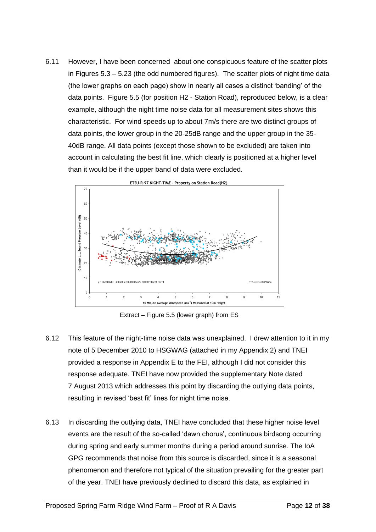6.11 However, I have been concerned about one conspicuous feature of the scatter plots in Figures 5.3 – 5.23 (the odd numbered figures). The scatter plots of night time data (the lower graphs on each page) show in nearly all cases a distinct 'banding' of the data points. Figure 5.5 (for position H2 - Station Road), reproduced below, is a clear example, although the night time noise data for all measurement sites shows this characteristic. For wind speeds up to about 7m/s there are two distinct groups of data points, the lower group in the 20-25dB range and the upper group in the 35- 40dB range. All data points (except those shown to be excluded) are taken into account in calculating the best fit line, which clearly is positioned at a higher level than it would be if the upper band of data were excluded.



Extract – Figure 5.5 (lower graph) from ES

- 6.12 This feature of the night-time noise data was unexplained. I drew attention to it in my note of 5 December 2010 to HSGWAG (attached in my Appendix 2) and TNEI provided a response in Appendix E to the FEI, although I did not consider this response adequate. TNEI have now provided the supplementary Note dated 7 August 2013 which addresses this point by discarding the outlying data points, resulting in revised 'best fit' lines for night time noise.
- 6.13 In discarding the outlying data, TNEI have concluded that these higher noise level events are the result of the so-called 'dawn chorus', continuous birdsong occurring during spring and early summer months during a period around sunrise. The IoA GPG recommends that noise from this source is discarded, since it is a seasonal phenomenon and therefore not typical of the situation prevailing for the greater part of the year. TNEI have previously declined to discard this data, as explained in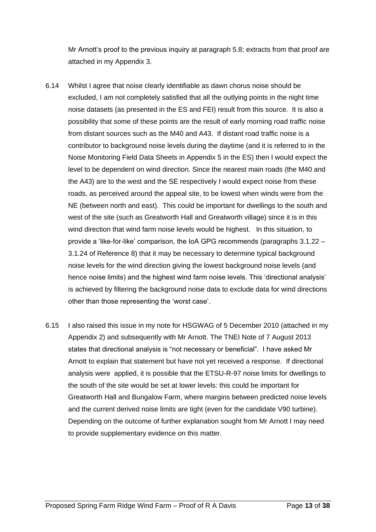Mr Arnott's proof to the previous inquiry at paragraph 5.8; extracts from that proof are attached in my Appendix 3.

- 6.14 Whilst I agree that noise clearly identifiable as dawn chorus noise should be excluded, I am not completely satisfied that all the outlying points in the night time noise datasets (as presented in the ES and FEI) result from this source. It is also a possibility that some of these points are the result of early morning road traffic noise from distant sources such as the M40 and A43. If distant road traffic noise is a contributor to background noise levels during the daytime (and it is referred to in the Noise Monitoring Field Data Sheets in Appendix 5 in the ES) then I would expect the level to be dependent on wind direction. Since the nearest main roads (the M40 and the A43) are to the west and the SE respectively I would expect noise from these roads, as perceived around the appeal site, to be lowest when winds were from the NE (between north and east). This could be important for dwellings to the south and west of the site (such as Greatworth Hall and Greatworth village) since it is in this wind direction that wind farm noise levels would be highest. In this situation, to provide a 'like-for-like' comparison, the IoA GPG recommends (paragraphs 3.1.22 – 3.1.24 of Reference 8) that it may be necessary to determine typical background noise levels for the wind direction giving the lowest background noise levels (and hence noise limits) and the highest wind farm noise levels. This 'directional analysis' is achieved by filtering the background noise data to exclude data for wind directions other than those representing the 'worst case'.
- 6.15 I also raised this issue in my note for HSGWAG of 5 December 2010 (attached in my Appendix 2) and subsequently with Mr Arnott. The TNEI Note of 7 August 2013 states that directional analysis is "not necessary or beneficial". I have asked Mr Arnott to explain that statement but have not yet received a response. If directional analysis were applied, it is possible that the ETSU-R-97 noise limits for dwellings to the south of the site would be set at lower levels: this could be important for Greatworth Hall and Bungalow Farm, where margins between predicted noise levels and the current derived noise limits are tight (even for the candidate V90 turbine). Depending on the outcome of further explanation sought from Mr Arnott I may need to provide supplementary evidence on this matter.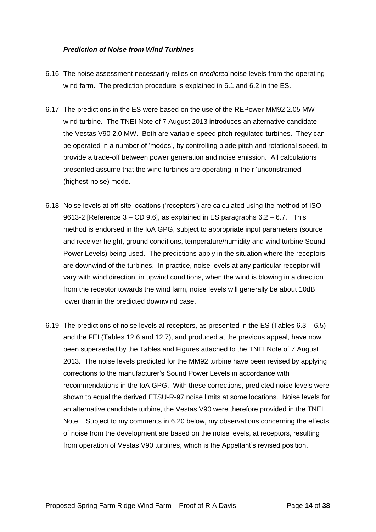#### *Prediction of Noise from Wind Turbines*

- 6.16 The noise assessment necessarily relies on *predicted* noise levels from the operating wind farm. The prediction procedure is explained in 6.1 and 6.2 in the ES.
- 6.17 The predictions in the ES were based on the use of the REPower MM92 2.05 MW wind turbine. The TNEI Note of 7 August 2013 introduces an alternative candidate, the Vestas V90 2.0 MW. Both are variable-speed pitch-regulated turbines. They can be operated in a number of 'modes', by controlling blade pitch and rotational speed, to provide a trade-off between power generation and noise emission. All calculations presented assume that the wind turbines are operating in their 'unconstrained' (highest-noise) mode.
- 6.18 Noise levels at off-site locations ('receptors') are calculated using the method of ISO 9613-2 [Reference 3 – CD 9.6], as explained in ES paragraphs 6.2 – 6.7. This method is endorsed in the IoA GPG, subject to appropriate input parameters (source and receiver height, ground conditions, temperature/humidity and wind turbine Sound Power Levels) being used. The predictions apply in the situation where the receptors are downwind of the turbines. In practice, noise levels at any particular receptor will vary with wind direction: in upwind conditions, when the wind is blowing in a direction from the receptor towards the wind farm, noise levels will generally be about 10dB lower than in the predicted downwind case.
- 6.19 The predictions of noise levels at receptors, as presented in the ES (Tables 6.3 6.5) and the FEI (Tables 12.6 and 12.7), and produced at the previous appeal, have now been superseded by the Tables and Figures attached to the TNEI Note of 7 August 2013. The noise levels predicted for the MM92 turbine have been revised by applying corrections to the manufacturer's Sound Power Levels in accordance with recommendations in the IoA GPG. With these corrections, predicted noise levels were shown to equal the derived ETSU-R-97 noise limits at some locations. Noise levels for an alternative candidate turbine, the Vestas V90 were therefore provided in the TNEI Note. Subject to my comments in 6.20 below, my observations concerning the effects of noise from the development are based on the noise levels, at receptors, resulting from operation of Vestas V90 turbines, which is the Appellant's revised position.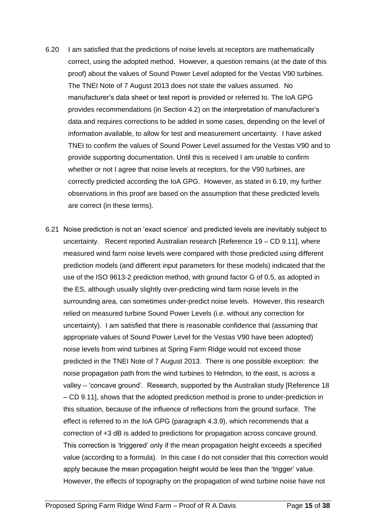- 6.20 I am satisfied that the predictions of noise levels at receptors are mathematically correct, using the adopted method. However, a question remains (at the date of this proof) about the values of Sound Power Level adopted for the Vestas V90 turbines. The TNEI Note of 7 August 2013 does not state the values assumed. No manufacturer's data sheet or test report is provided or referred to. The IoA GPG provides recommendations (in Section 4.2) on the interpretation of manufacturer's data and requires corrections to be added in some cases, depending on the level of information available, to allow for test and measurement uncertainty. I have asked TNEI to confirm the values of Sound Power Level assumed for the Vestas V90 and to provide supporting documentation. Until this is received I am unable to confirm whether or not I agree that noise levels at receptors, for the V90 turbines, are correctly predicted according the IoA GPG. However, as stated in 6.19, my further observations in this proof are based on the assumption that these predicted levels are correct (in these terms).
- 6.21 Noise prediction is not an 'exact science' and predicted levels are inevitably subject to uncertainty. Recent reported Australian research [Reference 19 – CD 9.11], where measured wind farm noise levels were compared with those predicted using different prediction models (and different input parameters for these models) indicated that the use of the ISO 9613-2 prediction method, with ground factor G of 0.5, as adopted in the ES, although usually slightly over-predicting wind farm noise levels in the surrounding area, can sometimes under-predict noise levels. However, this research relied on measured turbine Sound Power Levels (i.e. without any correction for uncertainty). I am satisfied that there is reasonable confidence that (assuming that appropriate values of Sound Power Level for the Vestas V90 have been adopted) noise levels from wind turbines at Spring Farm Ridge would not exceed those predicted in the TNEI Note of 7 August 2013. There is one possible exception: the noise propagation path from the wind turbines to Helmdon, to the east, is across a valley – 'concave ground'. Research, supported by the Australian study [Reference 18 – CD 9.11], shows that the adopted prediction method is prone to under-prediction in this situation, because of the influence of reflections from the ground surface. The effect is referred to in the IoA GPG (paragraph 4.3.9), which recommends that a correction of +3 dB is added to predictions for propagation across concave ground. This correction is 'triggered' only if the mean propagation height exceeds a specified value (according to a formula). In this case I do not consider that this correction would apply because the mean propagation height would be less than the 'trigger' value. However, the effects of topography on the propagation of wind turbine noise have not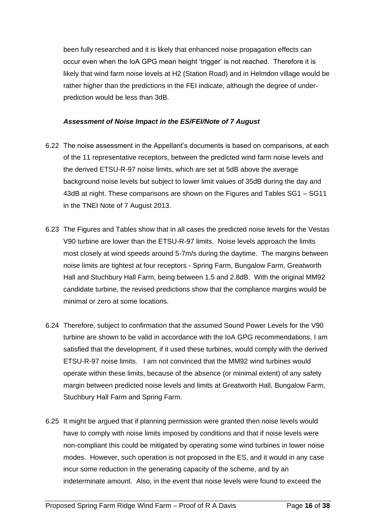been fully researched and it is likely that enhanced noise propagation effects can occur even when the IoA GPG mean height 'trigger' is not reached. Therefore it is likely that wind farm noise levels at H2 (Station Road) and in Helmdon village would be rather higher than the predictions in the FEI indicate, although the degree of underprediction would be less than 3dB.

#### *Assessment of Noise Impact in the ES/FEI/Note of 7 August*

- 6.22 The noise assessment in the Appellant's documents is based on comparisons, at each of the 11 representative receptors, between the predicted wind farm noise levels and the derived ETSU-R-97 noise limits, which are set at 5dB above the average background noise levels but subject to lower limit values of 35dB during the day and 43dB at night. These comparisons are shown on the Figures and Tables SG1 – SG11 in the TNEI Note of 7 August 2013.
- 6.23 The Figures and Tables show that in all cases the predicted noise levels for the Vestas V90 turbine are lower than the ETSU-R-97 limits. Noise levels approach the limits most closely at wind speeds around 5-7m/s during the daytime. The margins between noise limits are tightest at four receptors - Spring Farm, Bungalow Farm, Greatworth Hall and Stuchbury Hall Farm, being between 1.5 and 2.8dB. With the original MM92 candidate turbine, the revised predictions show that the compliance margins would be minimal or zero at some locations.
- 6.24 Therefore, subject to confirmation that the assumed Sound Power Levels for the V90 turbine are shown to be valid in accordance with the IoA GPG recommendations, I am satisfied that the development, if it used these turbines, would comply with the derived ETSU-R-97 noise limits. I am not convinced that the MM92 wind turbines would operate within these limits, because of the absence (or minimal extent) of any safety margin between predicted noise levels and limits at Greatworth Hall, Bungalow Farm, Stuchbury Hall Farm and Spring Farm.
- 6.25 It might be argued that if planning permission were granted then noise levels would have to comply with noise limits imposed by conditions and that if noise levels were non-compliant this could be mitigated by operating some wind turbines in lower noise modes. However, such operation is not proposed in the ES, and it would in any case incur some reduction in the generating capacity of the scheme, and by an indeterminate amount. Also, in the event that noise levels were found to exceed the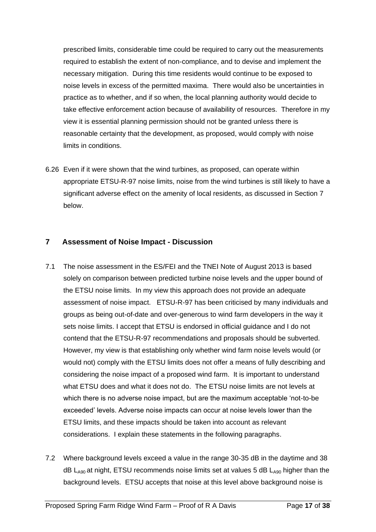prescribed limits, considerable time could be required to carry out the measurements required to establish the extent of non-compliance, and to devise and implement the necessary mitigation. During this time residents would continue to be exposed to noise levels in excess of the permitted maxima. There would also be uncertainties in practice as to whether, and if so when, the local planning authority would decide to take effective enforcement action because of availability of resources. Therefore in my view it is essential planning permission should not be granted unless there is reasonable certainty that the development, as proposed, would comply with noise limits in conditions.

6.26 Even if it were shown that the wind turbines, as proposed, can operate within appropriate ETSU-R-97 noise limits, noise from the wind turbines is still likely to have a significant adverse effect on the amenity of local residents, as discussed in Section 7 below.

## **7 Assessment of Noise Impact - Discussion**

- 7.1 The noise assessment in the ES/FEI and the TNEI Note of August 2013 is based solely on comparison between predicted turbine noise levels and the upper bound of the ETSU noise limits. In my view this approach does not provide an adequate assessment of noise impact. ETSU-R-97 has been criticised by many individuals and groups as being out-of-date and over-generous to wind farm developers in the way it sets noise limits. I accept that ETSU is endorsed in official guidance and I do not contend that the ETSU-R-97 recommendations and proposals should be subverted. However, my view is that establishing only whether wind farm noise levels would (or would not) comply with the ETSU limits does not offer a means of fully describing and considering the noise impact of a proposed wind farm. It is important to understand what ETSU does and what it does not do. The ETSU noise limits are not levels at which there is no adverse noise impact, but are the maximum acceptable 'not-to-be exceeded' levels. Adverse noise impacts can occur at noise levels lower than the ETSU limits, and these impacts should be taken into account as relevant considerations. I explain these statements in the following paragraphs.
- 7.2 Where background levels exceed a value in the range 30-35 dB in the daytime and 38  $dB$  L<sub>A90</sub> at night, ETSU recommends noise limits set at values 5 dB L<sub>A90</sub> higher than the background levels. ETSU accepts that noise at this level above background noise is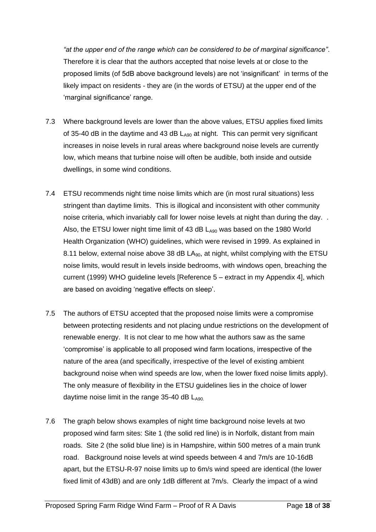*"at the upper end of the range which can be considered to be of marginal significance"*. Therefore it is clear that the authors accepted that noise levels at or close to the proposed limits (of 5dB above background levels) are not 'insignificant' in terms of the likely impact on residents - they are (in the words of ETSU) at the upper end of the 'marginal significance' range.

- 7.3 Where background levels are lower than the above values, ETSU applies fixed limits of 35-40 dB in the daytime and 43 dB  $L_{A90}$  at night. This can permit very significant increases in noise levels in rural areas where background noise levels are currently low, which means that turbine noise will often be audible, both inside and outside dwellings, in some wind conditions.
- 7.4 ETSU recommends night time noise limits which are (in most rural situations) less stringent than daytime limits. This is illogical and inconsistent with other community noise criteria, which invariably call for lower noise levels at night than during the day. . Also, the ETSU lower night time limit of 43 dB  $L_{A90}$  was based on the 1980 World Health Organization (WHO) guidelines, which were revised in 1999. As explained in 8.11 below, external noise above 38 dB  $LA_{90}$ , at night, whilst complying with the ETSU noise limits, would result in levels inside bedrooms, with windows open, breaching the current (1999) WHO guideline levels [Reference 5 – extract in my Appendix 4], which are based on avoiding 'negative effects on sleep'.
- 7.5 The authors of ETSU accepted that the proposed noise limits were a compromise between protecting residents and not placing undue restrictions on the development of renewable energy. It is not clear to me how what the authors saw as the same 'compromise' is applicable to all proposed wind farm locations, irrespective of the nature of the area (and specifically, irrespective of the level of existing ambient background noise when wind speeds are low, when the lower fixed noise limits apply). The only measure of flexibility in the ETSU guidelines lies in the choice of lower daytime noise limit in the range  $35-40$  dB  $L_{A90}$ .
- 7.6 The graph below shows examples of night time background noise levels at two proposed wind farm sites: Site 1 (the solid red line) is in Norfolk, distant from main roads. Site 2 (the solid blue line) is in Hampshire, within 500 metres of a main trunk road. Background noise levels at wind speeds between 4 and 7m/s are 10-16dB apart, but the ETSU-R-97 noise limits up to 6m/s wind speed are identical (the lower fixed limit of 43dB) and are only 1dB different at 7m/s. Clearly the impact of a wind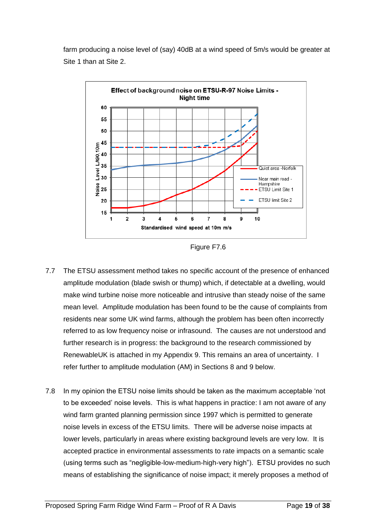farm producing a noise level of (say) 40dB at a wind speed of 5m/s would be greater at Site 1 than at Site 2.



Figure F7.6

- 7.7 The ETSU assessment method takes no specific account of the presence of enhanced amplitude modulation (blade swish or thump) which, if detectable at a dwelling, would make wind turbine noise more noticeable and intrusive than steady noise of the same mean level. Amplitude modulation has been found to be the cause of complaints from residents near some UK wind farms, although the problem has been often incorrectly referred to as low frequency noise or infrasound. The causes are not understood and further research is in progress: the background to the research commissioned by RenewableUK is attached in my Appendix 9. This remains an area of uncertainty. I refer further to amplitude modulation (AM) in Sections 8 and 9 below.
- 7.8 In my opinion the ETSU noise limits should be taken as the maximum acceptable 'not to be exceeded' noise levels. This is what happens in practice: I am not aware of any wind farm granted planning permission since 1997 which is permitted to generate noise levels in excess of the ETSU limits. There will be adverse noise impacts at lower levels, particularly in areas where existing background levels are very low. It is accepted practice in environmental assessments to rate impacts on a semantic scale (using terms such as "negligible-low-medium-high-very high"). ETSU provides no such means of establishing the significance of noise impact; it merely proposes a method of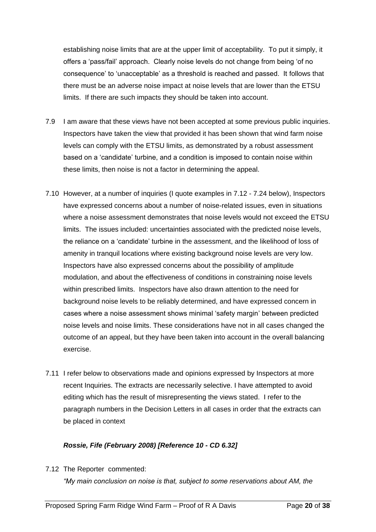establishing noise limits that are at the upper limit of acceptability. To put it simply, it offers a 'pass/fail' approach. Clearly noise levels do not change from being 'of no consequence' to 'unacceptable' as a threshold is reached and passed. It follows that there must be an adverse noise impact at noise levels that are lower than the ETSU limits. If there are such impacts they should be taken into account.

- 7.9 I am aware that these views have not been accepted at some previous public inquiries. Inspectors have taken the view that provided it has been shown that wind farm noise levels can comply with the ETSU limits, as demonstrated by a robust assessment based on a 'candidate' turbine, and a condition is imposed to contain noise within these limits, then noise is not a factor in determining the appeal.
- 7.10 However, at a number of inquiries (I quote examples in 7.12 7.24 below), Inspectors have expressed concerns about a number of noise-related issues, even in situations where a noise assessment demonstrates that noise levels would not exceed the ETSU limits. The issues included: uncertainties associated with the predicted noise levels, the reliance on a 'candidate' turbine in the assessment, and the likelihood of loss of amenity in tranquil locations where existing background noise levels are very low. Inspectors have also expressed concerns about the possibility of amplitude modulation, and about the effectiveness of conditions in constraining noise levels within prescribed limits. Inspectors have also drawn attention to the need for background noise levels to be reliably determined, and have expressed concern in cases where a noise assessment shows minimal 'safety margin' between predicted noise levels and noise limits. These considerations have not in all cases changed the outcome of an appeal, but they have been taken into account in the overall balancing exercise.
- 7.11 I refer below to observations made and opinions expressed by Inspectors at more recent Inquiries. The extracts are necessarily selective. I have attempted to avoid editing which has the result of misrepresenting the views stated. I refer to the paragraph numbers in the Decision Letters in all cases in order that the extracts can be placed in context

#### *Rossie, Fife (February 2008) [Reference 10 - CD 6.32]*

7.12 The Reporter commented:

*"My main conclusion on noise is that, subject to some reservations about AM, the*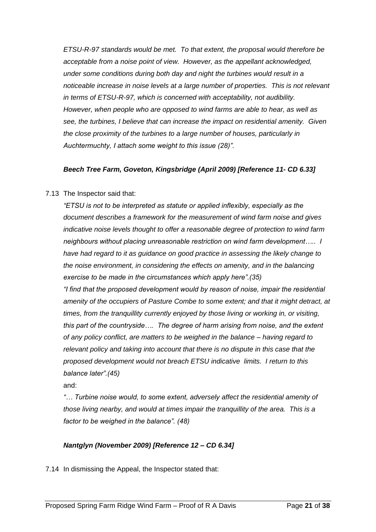*ETSU-R-97 standards would be met. To that extent, the proposal would therefore be acceptable from a noise point of view. However, as the appellant acknowledged, under some conditions during both day and night the turbines would result in a noticeable increase in noise levels at a large number of properties. This is not relevant in terms of ETSU-R-97, which is concerned with acceptability, not audibility. However, when people who are opposed to wind farms are able to hear, as well as see, the turbines, I believe that can increase the impact on residential amenity. Given the close proximity of the turbines to a large number of houses, particularly in Auchtermuchty, I attach some weight to this issue (28)".*

#### *Beech Tree Farm, Goveton, Kingsbridge (April 2009) [Reference 11- CD 6.33]*

#### 7.13 The Inspector said that:

*"ETSU is not to be interpreted as statute or applied inflexibly, especially as the document describes a framework for the measurement of wind farm noise and gives indicative noise levels thought to offer a reasonable degree of protection to wind farm neighbours without placing unreasonable restriction on wind farm development….. I have had regard to it as guidance on good practice in assessing the likely change to the noise environment, in considering the effects on amenity, and in the balancing exercise to be made in the circumstances which apply here".(35)*

*"I find that the proposed development would by reason of noise, impair the residential amenity of the occupiers of Pasture Combe to some extent; and that it might detract, at times, from the tranquillity currently enjoyed by those living or working in, or visiting, this part of the countryside…. The degree of harm arising from noise, and the extent of any policy conflict, are matters to be weighed in the balance – having regard to relevant policy and taking into account that there is no dispute in this case that the proposed development would not breach ETSU indicative limits. I return to this balance later".(45)*

and:

*"… Turbine noise would, to some extent, adversely affect the residential amenity of those living nearby, and would at times impair the tranquillity of the area. This is a factor to be weighed in the balance". (48)* 

#### *Nantglyn (November 2009) [Reference 12 – CD 6.34]*

7.14 In dismissing the Appeal, the Inspector stated that: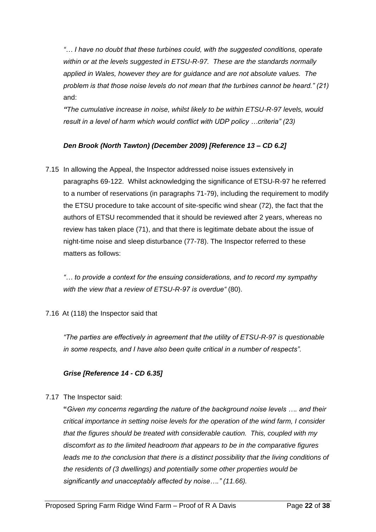*"… I have no doubt that these turbines could, with the suggested conditions, operate within or at the levels suggested in ETSU-R-97. These are the standards normally applied in Wales, however they are for guidance and are not absolute values. The problem is that those noise levels do not mean that the turbines cannot be heard." (21)* and:

*"The cumulative increase in noise, whilst likely to be within ETSU-R-97 levels, would result in a level of harm which would conflict with UDP policy …criteria" (23)* 

## *Den Brook (North Tawton) (December 2009) [Reference 13 – CD 6.2]*

7.15 In allowing the Appeal, the Inspector addressed noise issues extensively in paragraphs 69-122. Whilst acknowledging the significance of ETSU-R-97 he referred to a number of reservations (in paragraphs 71-79), including the requirement to modify the ETSU procedure to take account of site-specific wind shear (72), the fact that the authors of ETSU recommended that it should be reviewed after 2 years, whereas no review has taken place (71), and that there is legitimate debate about the issue of night-time noise and sleep disturbance (77-78). The Inspector referred to these matters as follows:

*"… to provide a context for the ensuing considerations, and to record my sympathy with the view that a review of ETSU-R-97 is overdue"* (80).

#### 7.16 At (118) the Inspector said that

*"The parties are effectively in agreement that the utility of ETSU-R-97 is questionable in some respects, and I have also been quite critical in a number of respects".* 

#### *Grise [Reference 14 - CD 6.35]*

7.17 The Inspector said:

**"***Given my concerns regarding the nature of the background noise levels …. and their critical importance in setting noise levels for the operation of the wind farm, I consider that the figures should be treated with considerable caution. This, coupled with my discomfort as to the limited headroom that appears to be in the comparative figures*  leads me to the conclusion that there is a distinct possibility that the living conditions of *the residents of (3 dwellings) and potentially some other properties would be significantly and unacceptably affected by noise…." (11.66).*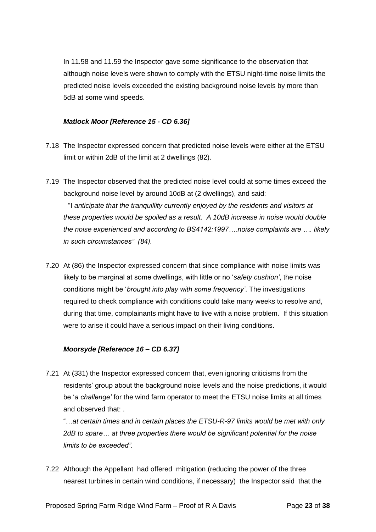In 11.58 and 11.59 the Inspector gave some significance to the observation that although noise levels were shown to comply with the ETSU night-time noise limits the predicted noise levels exceeded the existing background noise levels by more than 5dB at some wind speeds.

#### *Matlock Moor [Reference 15 - CD 6.36]*

- 7.18 The Inspector expressed concern that predicted noise levels were either at the ETSU limit or within 2dB of the limit at 2 dwellings (82).
- 7.19 The Inspector observed that the predicted noise level could at some times exceed the background noise level by around 10dB at (2 dwellings), and said: "I *anticipate that the tranquillity currently enjoyed by the residents and visitors at these properties would be spoiled as a result. A 10dB increase in noise would double the noise experienced and according to BS4142:1997….noise complaints are …. likely in such circumstances" (84).*
- 7.20 At (86) the Inspector expressed concern that since compliance with noise limits was likely to be marginal at some dwellings, with little or no '*safety cushion'*, the noise conditions might be '*brought into play with some frequency'*. The investigations required to check compliance with conditions could take many weeks to resolve and, during that time, complainants might have to live with a noise problem. If this situation were to arise it could have a serious impact on their living conditions.

#### *Moorsyde [Reference 16 – CD 6.37]*

7.21 At (331) the Inspector expressed concern that, even ignoring criticisms from the residents' group about the background noise levels and the noise predictions, it would be '*a challenge'* for the wind farm operator to meet the ETSU noise limits at all times and observed that: .

"…*at certain times and in certain places the ETSU-R-97 limits would be met with only 2dB to spare… at three properties there would be significant potential for the noise limits to be exceeded".*

7.22 Although the Appellant had offered mitigation (reducing the power of the three nearest turbines in certain wind conditions, if necessary) the Inspector said that the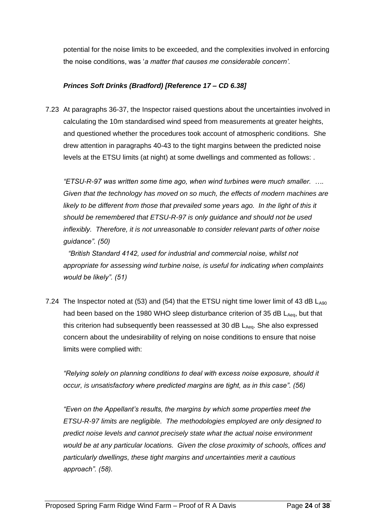potential for the noise limits to be exceeded, and the complexities involved in enforcing the noise conditions, was '*a matter that causes me considerable concern'.*

#### *Princes Soft Drinks (Bradford) [Reference 17 – CD 6.38]*

7.23 At paragraphs 36-37, the Inspector raised questions about the uncertainties involved in calculating the 10m standardised wind speed from measurements at greater heights, and questioned whether the procedures took account of atmospheric conditions. She drew attention in paragraphs 40-43 to the tight margins between the predicted noise levels at the ETSU limits (at night) at some dwellings and commented as follows: .

*"ETSU-R-97 was written some time ago, when wind turbines were much smaller. …. Given that the technology has moved on so much, the effects of modern machines are*  likely to be different from those that prevailed some years ago. In the light of this it *should be remembered that ETSU-R-97 is only guidance and should not be used inflexibly. Therefore, it is not unreasonable to consider relevant parts of other noise guidance". (50)*

*"British Standard 4142, used for industrial and commercial noise, whilst not appropriate for assessing wind turbine noise, is useful for indicating when complaints would be likely". (51)*

7.24 The Inspector noted at (53) and (54) that the ETSU night time lower limit of 43 dB  $L_{A90}$ had been based on the 1980 WHO sleep disturbance criterion of 35 dB  $L_{Aeq}$ , but that this criterion had subsequently been reassessed at 30 dB  $L_{Aeq}$ . She also expressed concern about the undesirability of relying on noise conditions to ensure that noise limits were complied with:

*"Relying solely on planning conditions to deal with excess noise exposure, should it occur, is unsatisfactory where predicted margins are tight, as in this case". (56)* 

*"Even on the Appellant's results, the margins by which some properties meet the ETSU-R-97 limits are negligible. The methodologies employed are only designed to predict noise levels and cannot precisely state what the actual noise environment would be at any particular locations. Given the close proximity of schools, offices and particularly dwellings, these tight margins and uncertainties merit a cautious approach". (58).*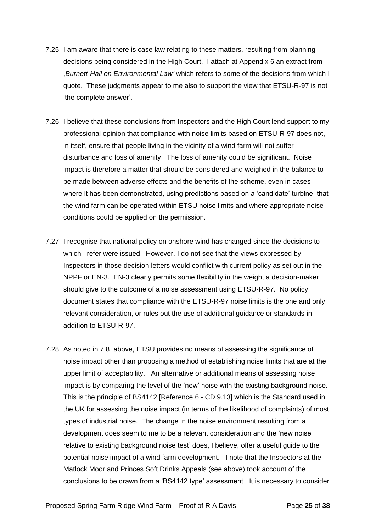- 7.25 I am aware that there is case law relating to these matters, resulting from planning decisions being considered in the High Court. I attach at Appendix 6 an extract from ,*Burnett-Hall on Environmental Law'* which refers to some of the decisions from which I quote. These judgments appear to me also to support the view that ETSU-R-97 is not 'the complete answer'.
- 7.26 I believe that these conclusions from Inspectors and the High Court lend support to my professional opinion that compliance with noise limits based on ETSU-R-97 does not, in itself, ensure that people living in the vicinity of a wind farm will not suffer disturbance and loss of amenity. The loss of amenity could be significant. Noise impact is therefore a matter that should be considered and weighed in the balance to be made between adverse effects and the benefits of the scheme, even in cases where it has been demonstrated, using predictions based on a 'candidate' turbine, that the wind farm can be operated within ETSU noise limits and where appropriate noise conditions could be applied on the permission.
- 7.27 I recognise that national policy on onshore wind has changed since the decisions to which I refer were issued. However, I do not see that the views expressed by Inspectors in those decision letters would conflict with current policy as set out in the NPPF or EN-3. EN-3 clearly permits some flexibility in the weight a decision-maker should give to the outcome of a noise assessment using ETSU-R-97. No policy document states that compliance with the ETSU-R-97 noise limits is the one and only relevant consideration, or rules out the use of additional guidance or standards in addition to ETSU-R-97.
- 7.28 As noted in 7.8 above, ETSU provides no means of assessing the significance of noise impact other than proposing a method of establishing noise limits that are at the upper limit of acceptability. An alternative or additional means of assessing noise impact is by comparing the level of the 'new' noise with the existing background noise. This is the principle of BS4142 [Reference 6 - CD 9.13] which is the Standard used in the UK for assessing the noise impact (in terms of the likelihood of complaints) of most types of industrial noise. The change in the noise environment resulting from a development does seem to me to be a relevant consideration and the 'new noise relative to existing background noise test' does, I believe, offer a useful guide to the potential noise impact of a wind farm development. I note that the Inspectors at the Matlock Moor and Princes Soft Drinks Appeals (see above) took account of the conclusions to be drawn from a 'BS4142 type' assessment. It is necessary to consider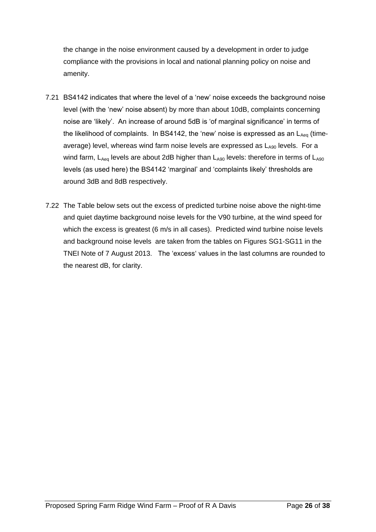the change in the noise environment caused by a development in order to judge compliance with the provisions in local and national planning policy on noise and amenity.

- 7.21 BS4142 indicates that where the level of a 'new' noise exceeds the background noise level (with the 'new' noise absent) by more than about 10dB, complaints concerning noise are 'likely'. An increase of around 5dB is 'of marginal significance' in terms of the likelihood of complaints. In BS4142, the 'new' noise is expressed as an  $L_{Aeq}$  (timeaverage) level, whereas wind farm noise levels are expressed as  $L_{A90}$  levels. For a wind farm,  $L_{Aeq}$  levels are about 2dB higher than  $L_{A90}$  levels: therefore in terms of  $L_{A90}$ levels (as used here) the BS4142 'marginal' and 'complaints likely' thresholds are around 3dB and 8dB respectively.
- 7.22 The Table below sets out the excess of predicted turbine noise above the night-time and quiet daytime background noise levels for the V90 turbine, at the wind speed for which the excess is greatest (6 m/s in all cases). Predicted wind turbine noise levels and background noise levels are taken from the tables on Figures SG1-SG11 in the TNEI Note of 7 August 2013. The 'excess' values in the last columns are rounded to the nearest dB, for clarity.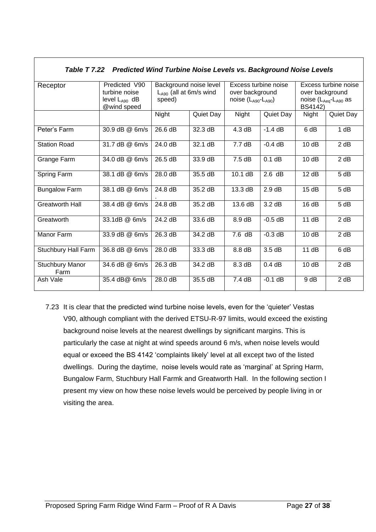*Table T 7.22 Predicted Wind Turbine Noise Levels vs. Background Noise Levels*

| Receptor                       | Predicted V90      | Background noise level<br>$L_{A90}$ (all at 6m/s wind |           | Excess turbine noise<br>over background |                     | Excess turbine noise<br>over background      |           |
|--------------------------------|--------------------|-------------------------------------------------------|-----------|-----------------------------------------|---------------------|----------------------------------------------|-----------|
|                                | turbine noise      |                                                       |           |                                         |                     |                                              |           |
|                                | level $L_{A90}$ dB | speed)                                                |           | noise $(L_{A90} - L_{A90})$             |                     | noise (L <sub>Aeq</sub> -L <sub>A90</sub> as |           |
|                                | @wind speed        |                                                       |           |                                         |                     | BS4142)                                      |           |
|                                |                    | Night                                                 | Quiet Day | Night                                   | Quiet Day           | Night                                        | Quiet Day |
|                                |                    |                                                       |           |                                         |                     |                                              |           |
| Peter's Farm                   | 30.9 dB @ 6m/s     | 26.6 dB                                               | 32.3 dB   | 4.3 dB                                  | $-1.4$ dB           | 6 dB                                         | 1 dB      |
| <b>Station Road</b>            | 31.7 dB @ 6m/s     | 24.0 dB                                               | 32.1 dB   | 7.7 dB                                  | $-0.4$ dB           | 10dB                                         | 2 dB      |
| Grange Farm                    | 34.0 dB @ 6m/s     | 26.5 dB                                               | 33.9 dB   | 7.5dB                                   | $\overline{0.1}$ dB | 10dB                                         | 2 dB      |
| Spring Farm                    | 38.1 dB @ 6m/s     | 28.0 dB                                               | 35.5 dB   | 10.1 dB                                 | 2.6 dB              | 12 dB                                        | 5 dB      |
| <b>Bungalow Farm</b>           | 38.1 dB @ 6m/s     | 24.8 dB                                               | 35.2 dB   | 13.3 dB                                 | 2.9dB               | 15dB                                         | 5 dB      |
| <b>Greatworth Hall</b>         | 38.4 dB @ 6m/s     | 24.8 dB                                               | 35.2 dB   | 13.6 dB                                 | 3.2 dB              | 16dB                                         | 5 dB      |
| Greatworth                     | 33.1dB @ 6m/s      | 24.2 dB                                               | 33.6 dB   | 8.9 dB                                  | $-0.5$ dB           | 11 dB                                        | 2 dB      |
| Manor Farm                     | 33.9 dB @ 6m/s     | 26.3 dB                                               | 34.2 dB   | $7.6$ dB                                | $-0.3$ dB           | 10dB                                         | 2 dB      |
| Stuchbury Hall Farm            | 36.8 dB @ 6m/s     | 28.0 dB                                               | 33.3 dB   | 8.8 dB                                  | 3.5dB               | 11dB                                         | 6 dB      |
| <b>Stuchbury Manor</b><br>Farm | 34.6 dB @ 6m/s     | 26.3 dB                                               | 34.2 dB   | 8.3 dB                                  | 0.4 dB              | 10dB                                         | 2 dB      |
| Ash Vale                       | 35.4 dB@ 6m/s      | 28.0 dB                                               | 35.5 dB   | 7.4dB                                   | $-0.1$ dB           | 9 dB                                         | 2 dB      |

7.23 It is clear that the predicted wind turbine noise levels, even for the 'quieter' Vestas V90, although compliant with the derived ETSU-R-97 limits, would exceed the existing background noise levels at the nearest dwellings by significant margins. This is particularly the case at night at wind speeds around 6 m/s, when noise levels would equal or exceed the BS 4142 'complaints likely' level at all except two of the listed dwellings. During the daytime, noise levels would rate as 'marginal' at Spring Harm, Bungalow Farm, Stuchbury Hall Farmk and Greatworth Hall. In the following section I present my view on how these noise levels would be perceived by people living in or visiting the area.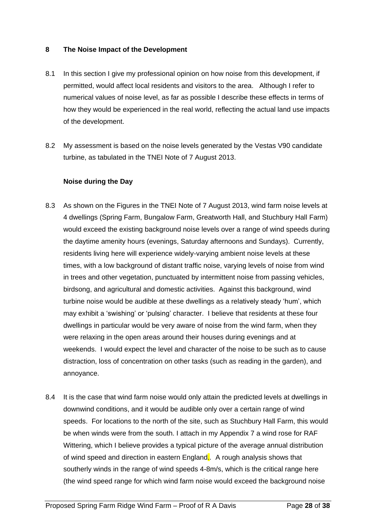#### **8 The Noise Impact of the Development**

- 8.1 In this section I give my professional opinion on how noise from this development, if permitted, would affect local residents and visitors to the area. Although I refer to numerical values of noise level, as far as possible I describe these effects in terms of how they would be experienced in the real world, reflecting the actual land use impacts of the development.
- 8.2 My assessment is based on the noise levels generated by the Vestas V90 candidate turbine, as tabulated in the TNEI Note of 7 August 2013.

#### **Noise during the Day**

- 8.3 As shown on the Figures in the TNEI Note of 7 August 2013, wind farm noise levels at 4 dwellings (Spring Farm, Bungalow Farm, Greatworth Hall, and Stuchbury Hall Farm) would exceed the existing background noise levels over a range of wind speeds during the daytime amenity hours (evenings, Saturday afternoons and Sundays). Currently, residents living here will experience widely-varying ambient noise levels at these times, with a low background of distant traffic noise, varying levels of noise from wind in trees and other vegetation, punctuated by intermittent noise from passing vehicles, birdsong, and agricultural and domestic activities. Against this background, wind turbine noise would be audible at these dwellings as a relatively steady 'hum', which may exhibit a 'swishing' or 'pulsing' character. I believe that residents at these four dwellings in particular would be very aware of noise from the wind farm, when they were relaxing in the open areas around their houses during evenings and at weekends. I would expect the level and character of the noise to be such as to cause distraction, loss of concentration on other tasks (such as reading in the garden), and annoyance.
- 8.4 It is the case that wind farm noise would only attain the predicted levels at dwellings in downwind conditions, and it would be audible only over a certain range of wind speeds. For locations to the north of the site, such as Stuchbury Hall Farm, this would be when winds were from the south. I attach in my Appendix 7 a wind rose for RAF Wittering, which I believe provides a typical picture of the average annual distribution of wind speed and direction in eastern England*..* A rough analysis shows that southerly winds in the range of wind speeds 4-8m/s, which is the critical range here (the wind speed range for which wind farm noise would exceed the background noise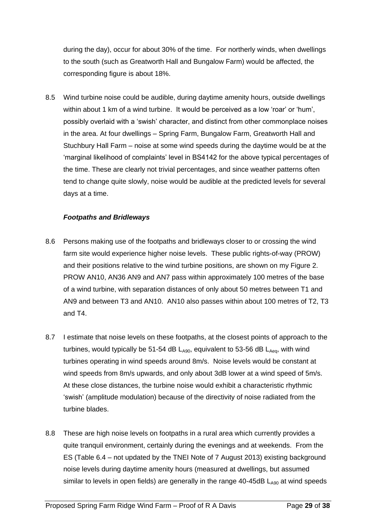during the day), occur for about 30% of the time. For northerly winds, when dwellings to the south (such as Greatworth Hall and Bungalow Farm) would be affected, the corresponding figure is about 18%.

8.5 Wind turbine noise could be audible, during daytime amenity hours, outside dwellings within about 1 km of a wind turbine. It would be perceived as a low 'roar' or 'hum', possibly overlaid with a 'swish' character, and distinct from other commonplace noises in the area. At four dwellings – Spring Farm, Bungalow Farm, Greatworth Hall and Stuchbury Hall Farm – noise at some wind speeds during the daytime would be at the 'marginal likelihood of complaints' level in BS4142 for the above typical percentages of the time. These are clearly not trivial percentages, and since weather patterns often tend to change quite slowly, noise would be audible at the predicted levels for several days at a time.

#### *Footpaths and Bridleways*

- 8.6 Persons making use of the footpaths and bridleways closer to or crossing the wind farm site would experience higher noise levels. These public rights-of-way (PROW) and their positions relative to the wind turbine positions, are shown on my Figure 2. PROW AN10, AN36 AN9 and AN7 pass within approximately 100 metres of the base of a wind turbine, with separation distances of only about 50 metres between T1 and AN9 and between T3 and AN10. AN10 also passes within about 100 metres of T2, T3 and T4.
- 8.7 I estimate that noise levels on these footpaths, at the closest points of approach to the turbines, would typically be 51-54 dB  $L_{A90}$ , equivalent to 53-56 dB  $L_{Aeq}$ , with wind turbines operating in wind speeds around 8m/s. Noise levels would be constant at wind speeds from 8m/s upwards, and only about 3dB lower at a wind speed of 5m/s. At these close distances, the turbine noise would exhibit a characteristic rhythmic 'swish' (amplitude modulation) because of the directivity of noise radiated from the turbine blades.
- 8.8 These are high noise levels on footpaths in a rural area which currently provides a quite tranquil environment, certainly during the evenings and at weekends. From the ES (Table 6.4 – not updated by the TNEI Note of 7 August 2013) existing background noise levels during daytime amenity hours (measured at dwellings, but assumed similar to levels in open fields) are generally in the range  $40-45dB$  L<sub>A90</sub> at wind speeds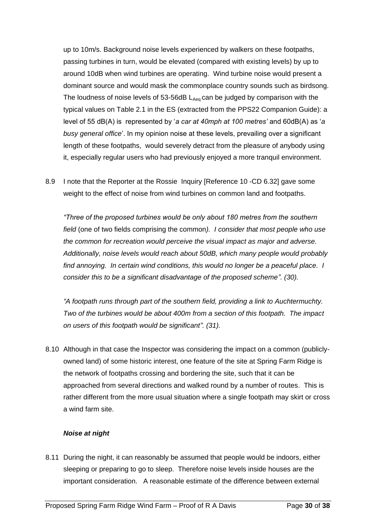up to 10m/s. Background noise levels experienced by walkers on these footpaths, passing turbines in turn, would be elevated (compared with existing levels) by up to around 10dB when wind turbines are operating. Wind turbine noise would present a dominant source and would mask the commonplace country sounds such as birdsong. The loudness of noise levels of 53-56dB  $L_{Aeq}$  can be judged by comparison with the typical values on Table 2.1 in the ES (extracted from the PPS22 Companion Guide): a level of 55 dB(A) is represented by '*a car at 40mph at 100 metres'* and 60dB(A) as '*a busy general office*'. In my opinion noise at these levels, prevailing over a significant length of these footpaths, would severely detract from the pleasure of anybody using it, especially regular users who had previously enjoyed a more tranquil environment.

8.9 I note that the Reporter at the Rossie Inquiry [Reference 10 -CD 6.32] gave some weight to the effect of noise from wind turbines on common land and footpaths.

*"Three of the proposed turbines would be only about 180 metres from the southern field* (one of two fields comprising the common*). I consider that most people who use the common for recreation would perceive the visual impact as major and adverse. Additionally, noise levels would reach about 50dB, which many people would probably find annoying. In certain wind conditions, this would no longer be a peaceful place. I consider this to be a significant disadvantage of the proposed scheme". (30).*

*"A footpath runs through part of the southern field, providing a link to Auchtermuchty. Two of the turbines would be about 400m from a section of this footpath. The impact on users of this footpath would be significant". (31).* 

8.10 Although in that case the Inspector was considering the impact on a common (publiclyowned land) of some historic interest, one feature of the site at Spring Farm Ridge is the network of footpaths crossing and bordering the site, such that it can be approached from several directions and walked round by a number of routes. This is rather different from the more usual situation where a single footpath may skirt or cross a wind farm site.

#### *Noise at night*

8.11 During the night, it can reasonably be assumed that people would be indoors, either sleeping or preparing to go to sleep. Therefore noise levels inside houses are the important consideration. A reasonable estimate of the difference between external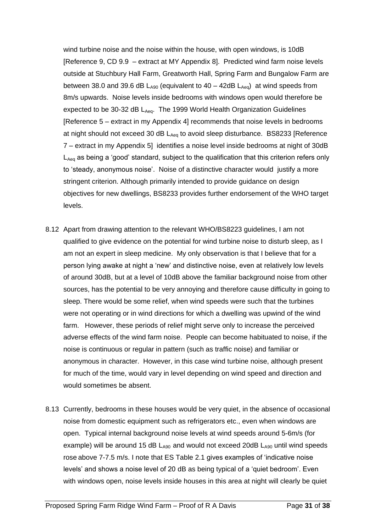wind turbine noise and the noise within the house, with open windows, is 10dB [Reference 9, CD 9.9 – extract at MY Appendix 8]. Predicted wind farm noise levels outside at Stuchbury Hall Farm, Greatworth Hall, Spring Farm and Bungalow Farm are between 38.0 and 39.6 dB  $L_{A90}$  (equivalent to 40 – 42dB  $L_{Aeq}$ ) at wind speeds from 8m/s upwards. Noise levels inside bedrooms with windows open would therefore be expected to be  $30-32$  dB  $L_{Aeq}$ . The 1999 World Health Organization Guidelines [Reference 5 – extract in my Appendix 4] recommends that noise levels in bedrooms at night should not exceed 30 dB  $L_{Aeq}$  to avoid sleep disturbance. BS8233 [Reference 7 – extract in my Appendix 5] identifies a noise level inside bedrooms at night of 30dB L<sub>Aeq</sub> as being a 'good' standard, subject to the qualification that this criterion refers only to 'steady, anonymous noise'. Noise of a distinctive character would justify a more stringent criterion. Although primarily intended to provide guidance on design objectives for new dwellings, BS8233 provides further endorsement of the WHO target levels.

- 8.12 Apart from drawing attention to the relevant WHO/BS8223 guidelines, I am not qualified to give evidence on the potential for wind turbine noise to disturb sleep, as I am not an expert in sleep medicine. My only observation is that I believe that for a person lying awake at night a 'new' and distinctive noise, even at relatively low levels of around 30dB, but at a level of 10dB above the familiar background noise from other sources, has the potential to be very annoying and therefore cause difficulty in going to sleep. There would be some relief, when wind speeds were such that the turbines were not operating or in wind directions for which a dwelling was upwind of the wind farm. However, these periods of relief might serve only to increase the perceived adverse effects of the wind farm noise. People can become habituated to noise, if the noise is continuous or regular in pattern (such as traffic noise) and familiar or anonymous in character. However, in this case wind turbine noise, although present for much of the time, would vary in level depending on wind speed and direction and would sometimes be absent.
- 8.13 Currently, bedrooms in these houses would be very quiet, in the absence of occasional noise from domestic equipment such as refrigerators etc., even when windows are open. Typical internal background noise levels at wind speeds around 5-6m/s (for example) will be around 15 dB  $L_{A90}$  and would not exceed 20dB  $L_{A90}$  until wind speeds rose above 7-7.5 m/s. I note that ES Table 2.1 gives examples of 'indicative noise levels' and shows a noise level of 20 dB as being typical of a 'quiet bedroom'. Even with windows open, noise levels inside houses in this area at night will clearly be quiet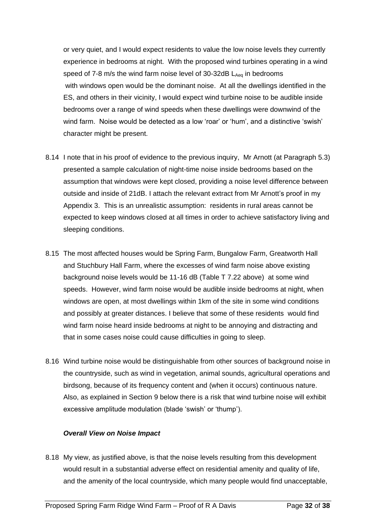or very quiet, and I would expect residents to value the low noise levels they currently experience in bedrooms at night. With the proposed wind turbines operating in a wind speed of 7-8 m/s the wind farm noise level of  $30\n-32$ dB L<sub>Aeq</sub> in bedrooms with windows open would be the dominant noise. At all the dwellings identified in the ES, and others in their vicinity, I would expect wind turbine noise to be audible inside bedrooms over a range of wind speeds when these dwellings were downwind of the wind farm. Noise would be detected as a low 'roar' or 'hum', and a distinctive 'swish' character might be present.

- 8.14 I note that in his proof of evidence to the previous inquiry, Mr Arnott (at Paragraph 5.3) presented a sample calculation of night-time noise inside bedrooms based on the assumption that windows were kept closed, providing a noise level difference between outside and inside of 21dB. I attach the relevant extract from Mr Arnott's proof in my Appendix 3. This is an unrealistic assumption: residents in rural areas cannot be expected to keep windows closed at all times in order to achieve satisfactory living and sleeping conditions.
- 8.15 The most affected houses would be Spring Farm, Bungalow Farm, Greatworth Hall and Stuchbury Hall Farm, where the excesses of wind farm noise above existing background noise levels would be 11-16 dB (Table T 7.22 above) at some wind speeds. However, wind farm noise would be audible inside bedrooms at night, when windows are open, at most dwellings within 1km of the site in some wind conditions and possibly at greater distances. I believe that some of these residents would find wind farm noise heard inside bedrooms at night to be annoying and distracting and that in some cases noise could cause difficulties in going to sleep.
- 8.16 Wind turbine noise would be distinguishable from other sources of background noise in the countryside, such as wind in vegetation, animal sounds, agricultural operations and birdsong, because of its frequency content and (when it occurs) continuous nature. Also, as explained in Section 9 below there is a risk that wind turbine noise will exhibit excessive amplitude modulation (blade 'swish' or 'thump').

#### *Overall View on Noise Impact*

8.18 My view, as justified above, is that the noise levels resulting from this development would result in a substantial adverse effect on residential amenity and quality of life, and the amenity of the local countryside, which many people would find unacceptable,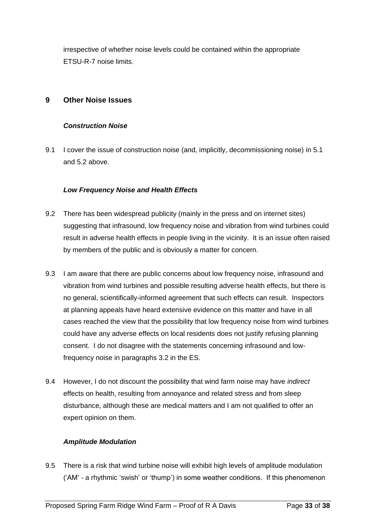irrespective of whether noise levels could be contained within the appropriate ETSU-R-7 noise limits.

### **9 Other Noise Issues**

#### *Construction Noise*

9.1 I cover the issue of construction noise (and, implicitly, decommissioning noise) in 5.1 and 5.2 above.

#### *Low Frequency Noise and Health Effects*

- 9.2 There has been widespread publicity (mainly in the press and on internet sites) suggesting that infrasound, low frequency noise and vibration from wind turbines could result in adverse health effects in people living in the vicinity. It is an issue often raised by members of the public and is obviously a matter for concern.
- 9.3 I am aware that there are public concerns about low frequency noise, infrasound and vibration from wind turbines and possible resulting adverse health effects, but there is no general, scientifically-informed agreement that such effects can result. Inspectors at planning appeals have heard extensive evidence on this matter and have in all cases reached the view that the possibility that low frequency noise from wind turbines could have any adverse effects on local residents does not justify refusing planning consent. I do not disagree with the statements concerning infrasound and lowfrequency noise in paragraphs 3.2 in the ES.
- 9.4 However, I do not discount the possibility that wind farm noise may have *indirect*  effects on health, resulting from annoyance and related stress and from sleep disturbance, although these are medical matters and I am not qualified to offer an expert opinion on them.

#### *Amplitude Modulation*

9.5 There is a risk that wind turbine noise will exhibit high levels of amplitude modulation ('AM' - a rhythmic 'swish' or 'thump') in some weather conditions. If this phenomenon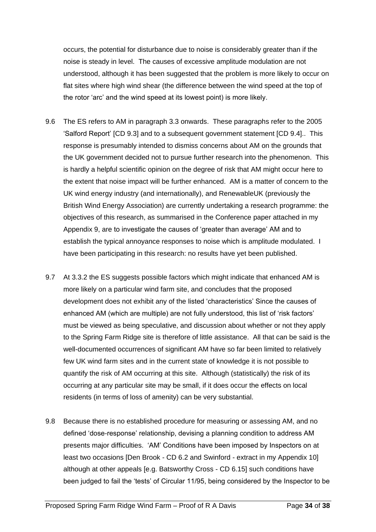occurs, the potential for disturbance due to noise is considerably greater than if the noise is steady in level. The causes of excessive amplitude modulation are not understood, although it has been suggested that the problem is more likely to occur on flat sites where high wind shear (the difference between the wind speed at the top of the rotor 'arc' and the wind speed at its lowest point) is more likely.

- 9.6 The ES refers to AM in paragraph 3.3 onwards. These paragraphs refer to the 2005 'Salford Report' [CD 9.3] and to a subsequent government statement [CD 9.4].. This response is presumably intended to dismiss concerns about AM on the grounds that the UK government decided not to pursue further research into the phenomenon. This is hardly a helpful scientific opinion on the degree of risk that AM might occur here to the extent that noise impact will be further enhanced. AM is a matter of concern to the UK wind energy industry (and internationally), and RenewableUK (previously the British Wind Energy Association) are currently undertaking a research programme: the objectives of this research, as summarised in the Conference paper attached in my Appendix 9, are to investigate the causes of 'greater than average' AM and to establish the typical annoyance responses to noise which is amplitude modulated. I have been participating in this research: no results have yet been published.
- 9.7 At 3.3.2 the ES suggests possible factors which might indicate that enhanced AM is more likely on a particular wind farm site, and concludes that the proposed development does not exhibit any of the listed 'characteristics' Since the causes of enhanced AM (which are multiple) are not fully understood, this list of 'risk factors' must be viewed as being speculative, and discussion about whether or not they apply to the Spring Farm Ridge site is therefore of little assistance. All that can be said is the well-documented occurrences of significant AM have so far been limited to relatively few UK wind farm sites and in the current state of knowledge it is not possible to quantify the risk of AM occurring at this site. Although (statistically) the risk of its occurring at any particular site may be small, if it does occur the effects on local residents (in terms of loss of amenity) can be very substantial.
- 9.8 Because there is no established procedure for measuring or assessing AM, and no defined 'dose-response' relationship, devising a planning condition to address AM presents major difficulties. 'AM' Conditions have been imposed by Inspectors on at least two occasions [Den Brook - CD 6.2 and Swinford - extract in my Appendix 10] although at other appeals [e.g. Batsworthy Cross - CD 6.15] such conditions have been judged to fail the 'tests' of Circular 11/95, being considered by the Inspector to be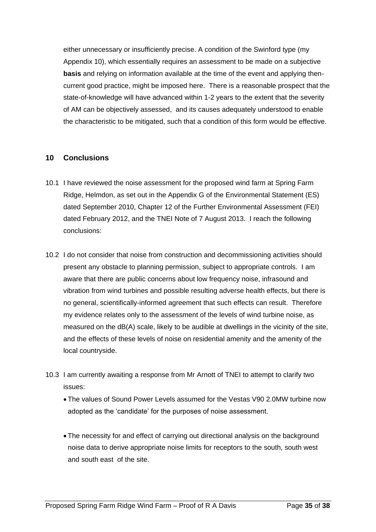either unnecessary or insufficiently precise. A condition of the Swinford type (my Appendix 10), which essentially requires an assessment to be made on a subjective **basis** and relying on information available at the time of the event and applying thencurrent good practice, might be imposed here. There is a reasonable prospect that the state-of-knowledge will have advanced within 1-2 years to the extent that the severity of AM can be objectively assessed, and its causes adequately understood to enable the characteristic to be mitigated, such that a condition of this form would be effective.

### **10 Conclusions**

- 10.1 I have reviewed the noise assessment for the proposed wind farm at Spring Farm Ridge, Helmdon, as set out in the Appendix G of the Environmental Statement (ES) dated September 2010, Chapter 12 of the Further Environmental Assessment (FEI) dated February 2012, and the TNEI Note of 7 August 2013. I reach the following conclusions:
- 10.2 I do not consider that noise from construction and decommissioning activities should present any obstacle to planning permission, subject to appropriate controls. I am aware that there are public concerns about low frequency noise, infrasound and vibration from wind turbines and possible resulting adverse health effects, but there is no general, scientifically-informed agreement that such effects can result. Therefore my evidence relates only to the assessment of the levels of wind turbine noise, as measured on the dB(A) scale, likely to be audible at dwellings in the vicinity of the site, and the effects of these levels of noise on residential amenity and the amenity of the local countryside.
- 10.3 I am currently awaiting a response from Mr Arnott of TNEI to attempt to clarify two issues:
	- The values of Sound Power Levels assumed for the Vestas V90 2.0MW turbine now adopted as the 'candidate' for the purposes of noise assessment.
	- The necessity for and effect of carrying out directional analysis on the background noise data to derive appropriate noise limits for receptors to the south, south west and south east of the site.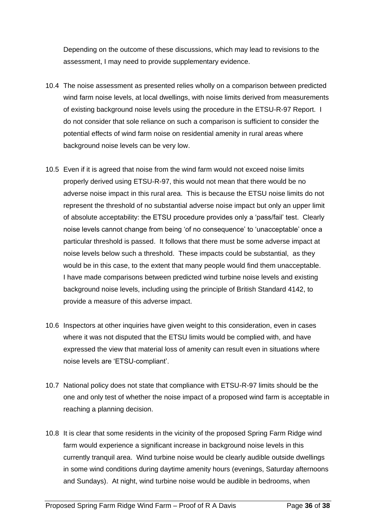Depending on the outcome of these discussions, which may lead to revisions to the assessment, I may need to provide supplementary evidence.

- 10.4 The noise assessment as presented relies wholly on a comparison between predicted wind farm noise levels, at local dwellings, with noise limits derived from measurements of existing background noise levels using the procedure in the ETSU-R-97 Report. I do not consider that sole reliance on such a comparison is sufficient to consider the potential effects of wind farm noise on residential amenity in rural areas where background noise levels can be very low.
- 10.5 Even if it is agreed that noise from the wind farm would not exceed noise limits properly derived using ETSU-R-97, this would not mean that there would be no adverse noise impact in this rural area. This is because the ETSU noise limits do not represent the threshold of no substantial adverse noise impact but only an upper limit of absolute acceptability: the ETSU procedure provides only a 'pass/fail' test. Clearly noise levels cannot change from being 'of no consequence' to 'unacceptable' once a particular threshold is passed. It follows that there must be some adverse impact at noise levels below such a threshold. These impacts could be substantial, as they would be in this case, to the extent that many people would find them unacceptable. I have made comparisons between predicted wind turbine noise levels and existing background noise levels, including using the principle of British Standard 4142, to provide a measure of this adverse impact.
- 10.6 Inspectors at other inquiries have given weight to this consideration, even in cases where it was not disputed that the ETSU limits would be complied with, and have expressed the view that material loss of amenity can result even in situations where noise levels are 'ETSU-compliant'.
- 10.7 National policy does not state that compliance with ETSU-R-97 limits should be the one and only test of whether the noise impact of a proposed wind farm is acceptable in reaching a planning decision.
- 10.8 It is clear that some residents in the vicinity of the proposed Spring Farm Ridge wind farm would experience a significant increase in background noise levels in this currently tranquil area. Wind turbine noise would be clearly audible outside dwellings in some wind conditions during daytime amenity hours (evenings, Saturday afternoons and Sundays). At night, wind turbine noise would be audible in bedrooms, when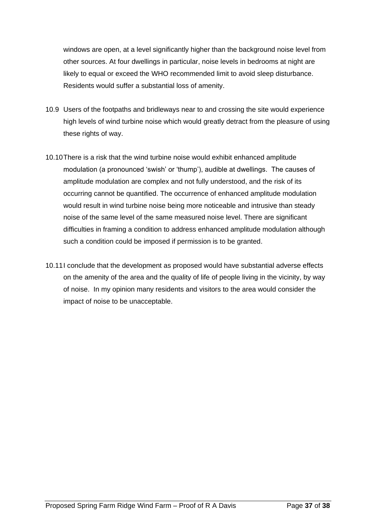windows are open, at a level significantly higher than the background noise level from other sources. At four dwellings in particular, noise levels in bedrooms at night are likely to equal or exceed the WHO recommended limit to avoid sleep disturbance. Residents would suffer a substantial loss of amenity.

- 10.9 Users of the footpaths and bridleways near to and crossing the site would experience high levels of wind turbine noise which would greatly detract from the pleasure of using these rights of way.
- 10.10There is a risk that the wind turbine noise would exhibit enhanced amplitude modulation (a pronounced 'swish' or 'thump'), audible at dwellings. The causes of amplitude modulation are complex and not fully understood, and the risk of its occurring cannot be quantified. The occurrence of enhanced amplitude modulation would result in wind turbine noise being more noticeable and intrusive than steady noise of the same level of the same measured noise level. There are significant difficulties in framing a condition to address enhanced amplitude modulation although such a condition could be imposed if permission is to be granted.
- 10.11I conclude that the development as proposed would have substantial adverse effects on the amenity of the area and the quality of life of people living in the vicinity, by way of noise. In my opinion many residents and visitors to the area would consider the impact of noise to be unacceptable.